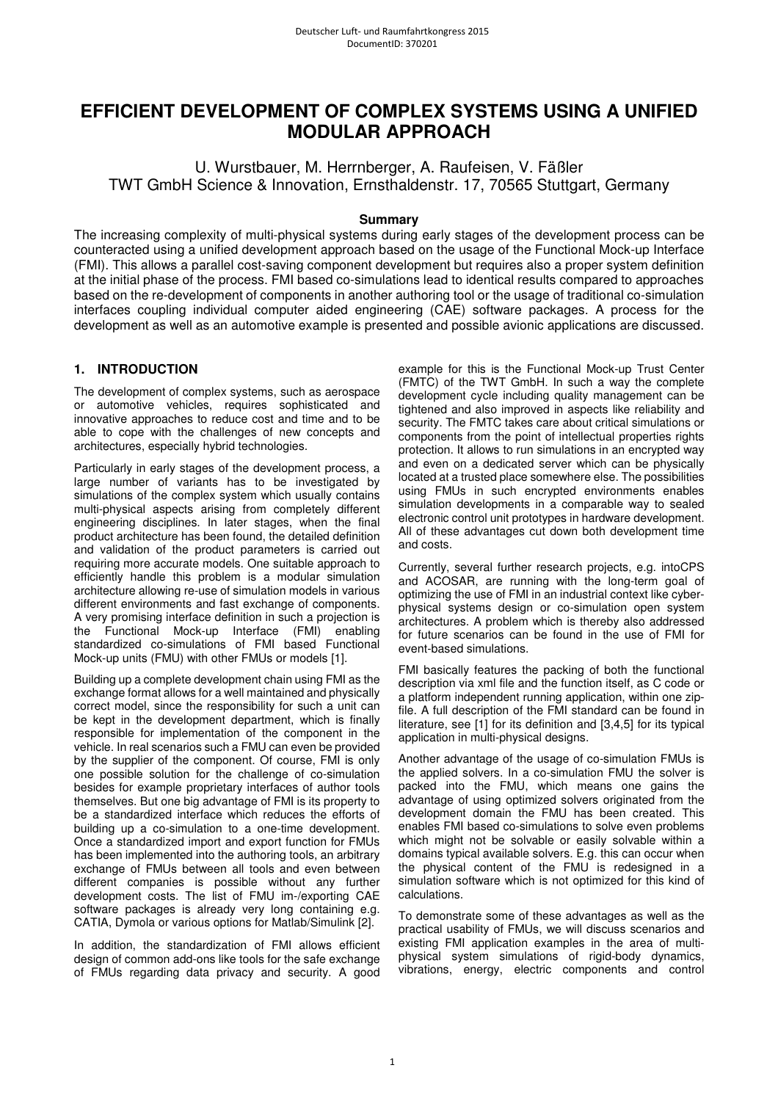# **EFFICIENT DEVELOPMENT OF COMPLEX SYSTEMS USING A UNIFIED MODULAR APPROACH**

U. Wurstbauer, M. Herrnberger, A. Raufeisen, V. Fäßler TWT GmbH Science & Innovation, Ernsthaldenstr. 17, 70565 Stuttgart, Germany

# **Summary**

The increasing complexity of multi-physical systems during early stages of the development process can be counteracted using a unified development approach based on the usage of the Functional Mock-up Interface (FMI). This allows a parallel cost-saving component development but requires also a proper system definition at the initial phase of the process. FMI based co-simulations lead to identical results compared to approaches based on the re-development of components in another authoring tool or the usage of traditional co-simulation interfaces coupling individual computer aided engineering (CAE) software packages. A process for the development as well as an automotive example is presented and possible avionic applications are discussed.

# **1. INTRODUCTION**

The development of complex systems, such as aerospace or automotive vehicles, requires sophisticated and innovative approaches to reduce cost and time and to be able to cope with the challenges of new concepts and architectures, especially hybrid technologies.

Particularly in early stages of the development process, a large number of variants has to be investigated by simulations of the complex system which usually contains multi-physical aspects arising from completely different engineering disciplines. In later stages, when the final product architecture has been found, the detailed definition and validation of the product parameters is carried out requiring more accurate models. One suitable approach to efficiently handle this problem is a modular simulation architecture allowing re-use of simulation models in various different environments and fast exchange of components. A very promising interface definition in such a projection is the Functional Mock-up Interface (FMI) enabling standardized co-simulations of FMI based Functional Mock-up units (FMU) with other FMUs or models [1].

Building up a complete development chain using FMI as the exchange format allows for a well maintained and physically correct model, since the responsibility for such a unit can be kept in the development department, which is finally responsible for implementation of the component in the vehicle. In real scenarios such a FMU can even be provided by the supplier of the component. Of course, FMI is only one possible solution for the challenge of co-simulation besides for example proprietary interfaces of author tools themselves. But one big advantage of FMI is its property to be a standardized interface which reduces the efforts of building up a co-simulation to a one-time development. Once a standardized import and export function for FMUs has been implemented into the authoring tools, an arbitrary exchange of FMUs between all tools and even between different companies is possible without any further development costs. The list of FMU im-/exporting CAE software packages is already very long containing e.g. CATIA, Dymola or various options for Matlab/Simulink [2].

In addition, the standardization of FMI allows efficient design of common add-ons like tools for the safe exchange of FMUs regarding data privacy and security. A good

example for this is the Functional Mock-up Trust Center (FMTC) of the TWT GmbH. In such a way the complete development cycle including quality management can be tightened and also improved in aspects like reliability and security. The FMTC takes care about critical simulations or components from the point of intellectual properties rights protection. It allows to run simulations in an encrypted way and even on a dedicated server which can be physically located at a trusted place somewhere else. The possibilities using FMUs in such encrypted environments enables simulation developments in a comparable way to sealed electronic control unit prototypes in hardware development. All of these advantages cut down both development time and costs.

Currently, several further research projects, e.g. intoCPS and ACOSAR, are running with the long-term goal of optimizing the use of FMI in an industrial context like cyberphysical systems design or co-simulation open system architectures. A problem which is thereby also addressed for future scenarios can be found in the use of FMI for event-based simulations.

FMI basically features the packing of both the functional description via xml file and the function itself, as C code or a platform independent running application, within one zipfile. A full description of the FMI standard can be found in literature, see [1] for its definition and [3,4,5] for its typical application in multi-physical designs.

Another advantage of the usage of co-simulation FMUs is the applied solvers. In a co-simulation FMU the solver is packed into the FMU, which means one gains the advantage of using optimized solvers originated from the development domain the FMU has been created. This enables FMI based co-simulations to solve even problems which might not be solvable or easily solvable within a domains typical available solvers. E.g. this can occur when the physical content of the FMU is redesigned in a simulation software which is not optimized for this kind of calculations.

To demonstrate some of these advantages as well as the practical usability of FMUs, we will discuss scenarios and existing FMI application examples in the area of multiphysical system simulations of rigid-body dynamics, vibrations, energy, electric components and control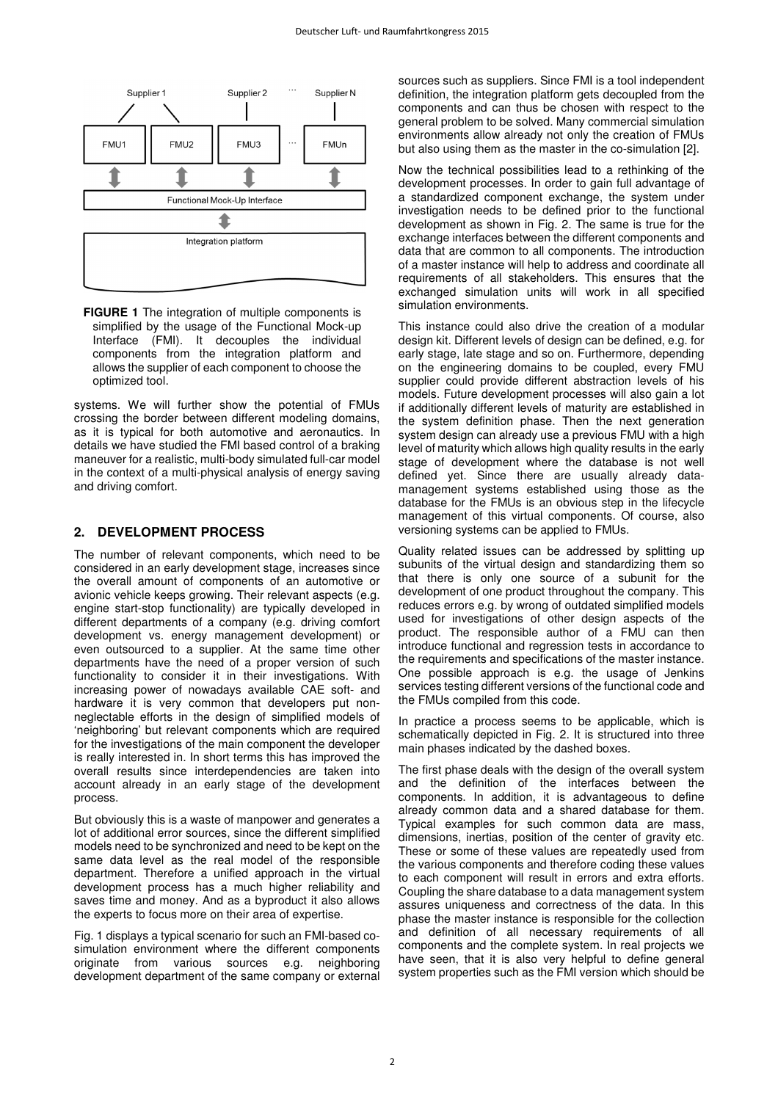

**FIGURE 1** The integration of multiple components is simplified by the usage of the Functional Mock-up Interface (FMI). It decouples the individual components from the integration platform and allows the supplier of each component to choose the optimized tool.

systems. We will further show the potential of FMUs crossing the border between different modeling domains, as it is typical for both automotive and aeronautics. In details we have studied the FMI based control of a braking maneuver for a realistic, multi-body simulated full-car model in the context of a multi-physical analysis of energy saving and driving comfort.

### **2. DEVELOPMENT PROCESS**

The number of relevant components, which need to be considered in an early development stage, increases since the overall amount of components of an automotive or avionic vehicle keeps growing. Their relevant aspects (e.g. engine start-stop functionality) are typically developed in different departments of a company (e.g. driving comfort development vs. energy management development) or even outsourced to a supplier. At the same time other departments have the need of a proper version of such functionality to consider it in their investigations. With increasing power of nowadays available CAE soft- and hardware it is very common that developers put nonneglectable efforts in the design of simplified models of 'neighboring' but relevant components which are required for the investigations of the main component the developer is really interested in. In short terms this has improved the overall results since interdependencies are taken into account already in an early stage of the development process.

But obviously this is a waste of manpower and generates a lot of additional error sources, since the different simplified models need to be synchronized and need to be kept on the same data level as the real model of the responsible department. Therefore a unified approach in the virtual development process has a much higher reliability and saves time and money. And as a byproduct it also allows the experts to focus more on their area of expertise.

Fig. 1 displays a typical scenario for such an FMI-based cosimulation environment where the different components originate from various sources e.g. neighboring development department of the same company or external

sources such as suppliers. Since FMI is a tool independent definition, the integration platform gets decoupled from the components and can thus be chosen with respect to the general problem to be solved. Many commercial simulation environments allow already not only the creation of FMUs but also using them as the master in the co-simulation [2].

Now the technical possibilities lead to a rethinking of the development processes. In order to gain full advantage of a standardized component exchange, the system under investigation needs to be defined prior to the functional development as shown in Fig. 2. The same is true for the exchange interfaces between the different components and data that are common to all components. The introduction of a master instance will help to address and coordinate all requirements of all stakeholders. This ensures that the exchanged simulation units will work in all specified simulation environments.

This instance could also drive the creation of a modular design kit. Different levels of design can be defined, e.g. for early stage, late stage and so on. Furthermore, depending on the engineering domains to be coupled, every FMU supplier could provide different abstraction levels of his models. Future development processes will also gain a lot if additionally different levels of maturity are established in the system definition phase. Then the next generation system design can already use a previous FMU with a high level of maturity which allows high quality results in the early stage of development where the database is not well defined yet. Since there are usually already datamanagement systems established using those as the database for the FMUs is an obvious step in the lifecycle management of this virtual components. Of course, also versioning systems can be applied to FMUs.

Quality related issues can be addressed by splitting up subunits of the virtual design and standardizing them so that there is only one source of a subunit for the development of one product throughout the company. This reduces errors e.g. by wrong of outdated simplified models used for investigations of other design aspects of the product. The responsible author of a FMU can then introduce functional and regression tests in accordance to the requirements and specifications of the master instance. One possible approach is e.g. the usage of Jenkins services testing different versions of the functional code and the FMUs compiled from this code.

In practice a process seems to be applicable, which is schematically depicted in Fig. 2. It is structured into three main phases indicated by the dashed boxes.

The first phase deals with the design of the overall system and the definition of the interfaces between the components. In addition, it is advantageous to define already common data and a shared database for them. Typical examples for such common data are mass, dimensions, inertias, position of the center of gravity etc. These or some of these values are repeatedly used from the various components and therefore coding these values to each component will result in errors and extra efforts. Coupling the share database to a data management system assures uniqueness and correctness of the data. In this phase the master instance is responsible for the collection and definition of all necessary requirements of all components and the complete system. In real projects we have seen, that it is also very helpful to define general system properties such as the FMI version which should be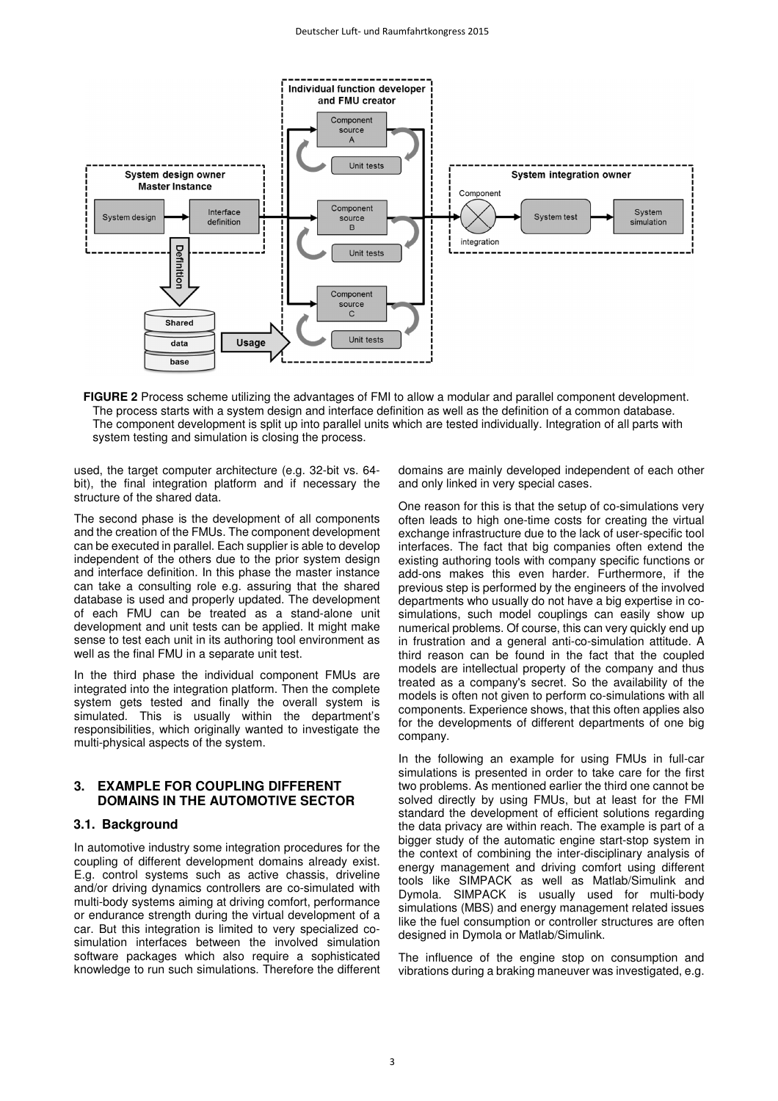

**FIGURE 2** Process scheme utilizing the advantages of FMI to allow a modular and parallel component development. The process starts with a system design and interface definition as well as the definition of a common database. The component development is split up into parallel units which are tested individually. Integration of all parts with system testing and simulation is closing the process.

used, the target computer architecture (e.g. 32-bit vs. 64 bit), the final integration platform and if necessary the structure of the shared data.

The second phase is the development of all components and the creation of the FMUs. The component development can be executed in parallel. Each supplier is able to develop independent of the others due to the prior system design and interface definition. In this phase the master instance can take a consulting role e.g. assuring that the shared database is used and properly updated. The development of each FMU can be treated as a stand-alone unit development and unit tests can be applied. It might make sense to test each unit in its authoring tool environment as well as the final FMU in a separate unit test.

In the third phase the individual component FMUs are integrated into the integration platform. Then the complete system gets tested and finally the overall system is simulated. This is usually within the department's responsibilities, which originally wanted to investigate the multi-physical aspects of the system.

# **3. EXAMPLE FOR COUPLING DIFFERENT DOMAINS IN THE AUTOMOTIVE SECTOR**

#### **3.1. Background**

In automotive industry some integration procedures for the coupling of different development domains already exist. E.g. control systems such as active chassis, driveline and/or driving dynamics controllers are co-simulated with multi-body systems aiming at driving comfort, performance or endurance strength during the virtual development of a car. But this integration is limited to very specialized cosimulation interfaces between the involved simulation software packages which also require a sophisticated knowledge to run such simulations. Therefore the different

domains are mainly developed independent of each other and only linked in very special cases.

One reason for this is that the setup of co-simulations very often leads to high one-time costs for creating the virtual exchange infrastructure due to the lack of user-specific tool interfaces. The fact that big companies often extend the existing authoring tools with company specific functions or add-ons makes this even harder. Furthermore, if the previous step is performed by the engineers of the involved departments who usually do not have a big expertise in cosimulations, such model couplings can easily show up numerical problems. Of course, this can very quickly end up in frustration and a general anti-co-simulation attitude. A third reason can be found in the fact that the coupled models are intellectual property of the company and thus treated as a company's secret. So the availability of the models is often not given to perform co-simulations with all components. Experience shows, that this often applies also for the developments of different departments of one big company.

In the following an example for using FMUs in full-car simulations is presented in order to take care for the first two problems. As mentioned earlier the third one cannot be solved directly by using FMUs, but at least for the FMI standard the development of efficient solutions regarding the data privacy are within reach. The example is part of a bigger study of the automatic engine start-stop system in the context of combining the inter-disciplinary analysis of energy management and driving comfort using different tools like SIMPACK as well as Matlab/Simulink and Dymola. SIMPACK is usually used for multi-body simulations (MBS) and energy management related issues like the fuel consumption or controller structures are often designed in Dymola or Matlab/Simulink.

The influence of the engine stop on consumption and vibrations during a braking maneuver was investigated, e.g.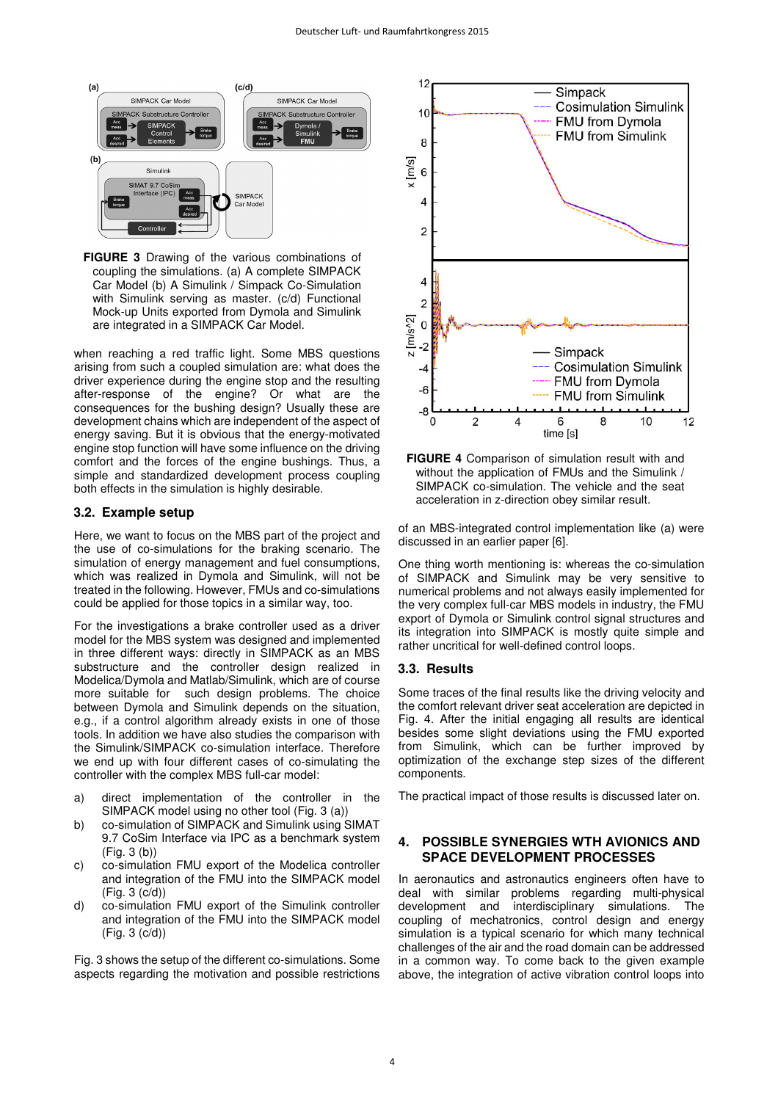

**FIGURE 3** Drawing of the various combinations of coupling the simulations. (a) A complete SIMPACK Car Model (b) A Simulink / Simpack Co-Simulation with Simulink serving as master. (c/d) Functional Mock-up Units exported from Dymola and Simulink are integrated in a SIMPACK Car Model.

when reaching a red traffic light. Some MBS questions arising from such a coupled simulation are: what does the driver experience during the engine stop and the resulting after-response of the engine? Or what are the consequences for the bushing design? Usually these are development chains which are independent of the aspect of energy saving. But it is obvious that the energy-motivated engine stop function will have some influence on the driving comfort and the forces of the engine bushings. Thus, a simple and standardized development process coupling both effects in the simulation is highly desirable.

#### **3.2. Example setup**

Here, we want to focus on the MBS part of the project and the use of co-simulations for the braking scenario. The simulation of energy management and fuel consumptions, which was realized in Dymola and Simulink, will not be treated in the following. However, FMUs and co-simulations could be applied for those topics in a similar way, too.

For the investigations a brake controller used as a driver model for the MBS system was designed and implemented in three different ways: directly in SIMPACK as an MBS substructure and the controller design realized in Modelica/Dymola and Matlab/Simulink, which are of course more suitable for such design problems. The choice between Dymola and Simulink depends on the situation, e.g., if a control algorithm already exists in one of those tools. In addition we have also studies the comparison with the Simulink/SIMPACK co-simulation interface. Therefore we end up with four different cases of co-simulating the controller with the complex MBS full-car model:

- a) direct implementation of the controller in the SIMPACK model using no other tool (Fig. 3 (a))
- b) co-simulation of SIMPACK and Simulink using SIMAT 9.7 CoSim Interface via IPC as a benchmark system (Fig. 3 (b))
- c) co-simulation FMU export of the Modelica controller and integration of the FMU into the SIMPACK model (Fig. 3 (c/d))
- d) co-simulation FMU export of the Simulink controller and integration of the FMU into the SIMPACK model (Fig. 3 (c/d))

Fig. 3 shows the setup of the different co-simulations. Some aspects regarding the motivation and possible restrictions



**FIGURE 4** Comparison of simulation result with and without the application of FMUs and the Simulink / SIMPACK co-simulation. The vehicle and the seat acceleration in z-direction obey similar result.

of an MBS-integrated control implementation like (a) were discussed in an earlier paper [6].

One thing worth mentioning is: whereas the co-simulation of SIMPACK and Simulink may be very sensitive to numerical problems and not always easily implemented for the very complex full-car MBS models in industry, the FMU export of Dymola or Simulink control signal structures and its integration into SIMPACK is mostly quite simple and rather uncritical for well-defined control loops.

# **3.3. Results**

Some traces of the final results like the driving velocity and the comfort relevant driver seat acceleration are depicted in Fig. 4. After the initial engaging all results are identical besides some slight deviations using the FMU exported from Simulink, which can be further improved by optimization of the exchange step sizes of the different components.

The practical impact of those results is discussed later on.

## **4. POSSIBLE SYNERGIES WTH AVIONICS AND SPACE DEVELOPMENT PROCESSES**

In aeronautics and astronautics engineers often have to deal with similar problems regarding multi-physical development and interdisciplinary simulations. The coupling of mechatronics, control design and energy simulation is a typical scenario for which many technical challenges of the air and the road domain can be addressed in a common way. To come back to the given example above, the integration of active vibration control loops into